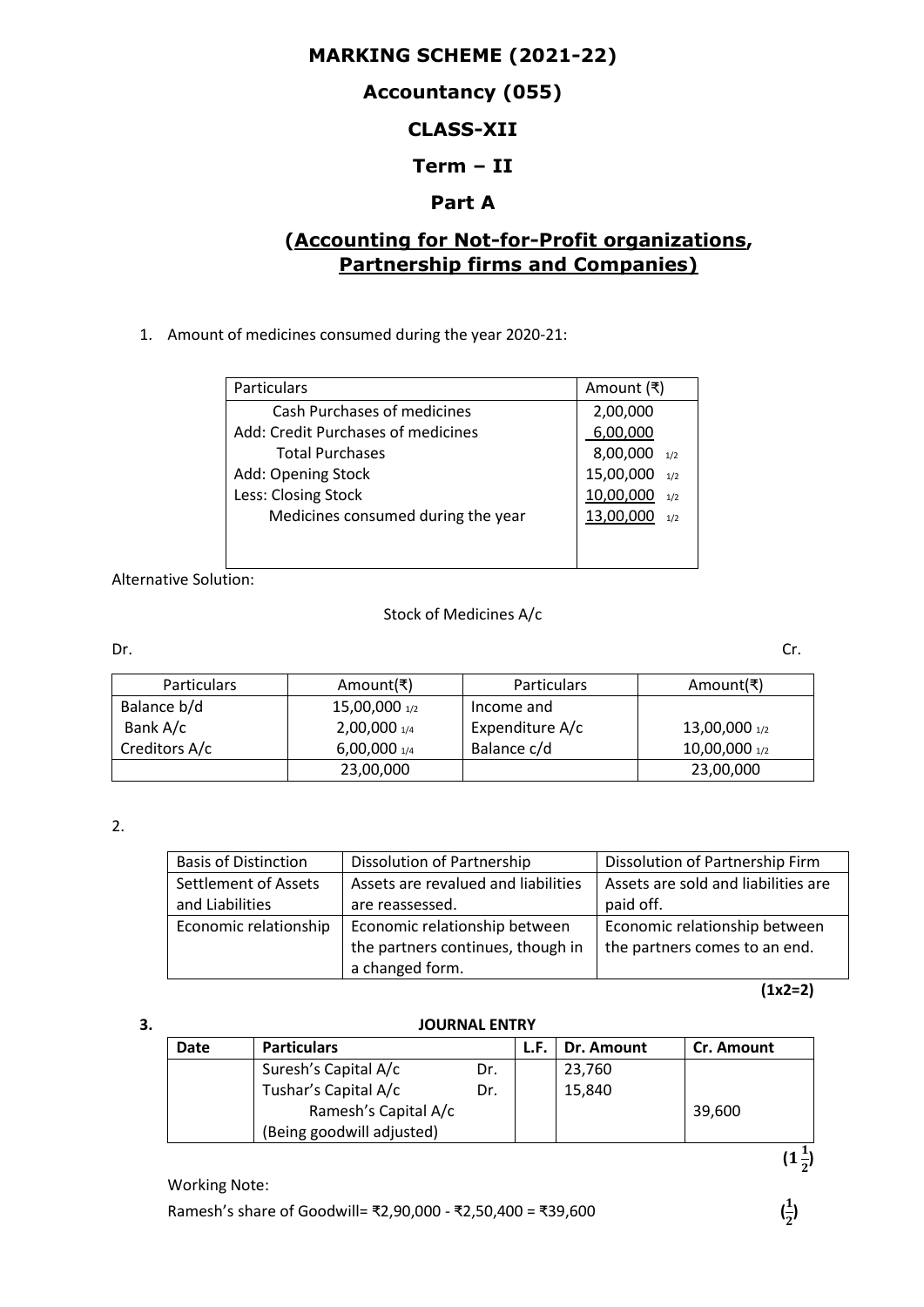# **MARKING SCHEME (2021-22)**

# **Accountancy (055)**

# **CLASS-XII**

# **Term – II**

# **Part A**

# **(Accounting for Not-for-Profit organizations, Partnership firms and Companies)**

1. Amount of medicines consumed during the year 2020-21:

| Particulars                        | Amount (₹)       |
|------------------------------------|------------------|
| Cash Purchases of medicines        | 2,00,000         |
| Add: Credit Purchases of medicines | 6,00,000         |
| <b>Total Purchases</b>             | 8,00,000<br>1/2  |
| Add: Opening Stock                 | 15,00,000<br>1/2 |
| Less: Closing Stock                | 10,00,000<br>1/2 |
| Medicines consumed during the year | 13,00,000<br>1/2 |
|                                    |                  |
|                                    |                  |

Alternative Solution:

## Stock of Medicines A/c

### de la contradición de la contradición de la contradición de la contradición de la contradición de la contradición de la contradición de la contradición de la contradición de la contradición de la contradición de la contrad

| <b>Particulars</b> | Amount(₹)           | <b>Particulars</b> | Amount(₹)            |
|--------------------|---------------------|--------------------|----------------------|
| Balance b/d        | 15,00,000 1/2       | Income and         |                      |
| Bank A/c           | 2,00,000 1/4        | Expenditure A/c    | 13,00,000 1/2        |
| Creditors A/c      | $6,00,000$ $_{1/4}$ | Balance c/d        | $10,00,000$ $_{1/2}$ |
|                    | 23,00,000           |                    | 23,00,000            |

## 2.

| <b>Basis of Distinction</b> | <b>Dissolution of Partnership</b>   | Dissolution of Partnership Firm     |
|-----------------------------|-------------------------------------|-------------------------------------|
| <b>Settlement of Assets</b> | Assets are revalued and liabilities | Assets are sold and liabilities are |
| and Liabilities             | are reassessed.                     | paid off.                           |
| Economic relationship       | Economic relationship between       | Economic relationship between       |
|                             | the partners continues, though in   | the partners comes to an end.       |
|                             | a changed form.                     |                                     |

**(1x2=2)**

**3. JOURNAL ENTRY**

| Date | <b>Particulars</b>        |     | L.F. | Dr. Amount | <b>Cr. Amount</b> |
|------|---------------------------|-----|------|------------|-------------------|
|      | Suresh's Capital A/c      | Dr. |      | 23,760     |                   |
|      | Tushar's Capital A/c      | Dr. |      | 15,840     |                   |
|      | Ramesh's Capital A/c      |     |      |            | 39,600            |
|      | (Being goodwill adjusted) |     |      |            |                   |

 $(1\frac{1}{2})$  $\frac{1}{2}$ 

Working Note:

Ramesh's share of Goodwill= ₹2,90,000 - ₹2,50,400 = ₹39,600 **(**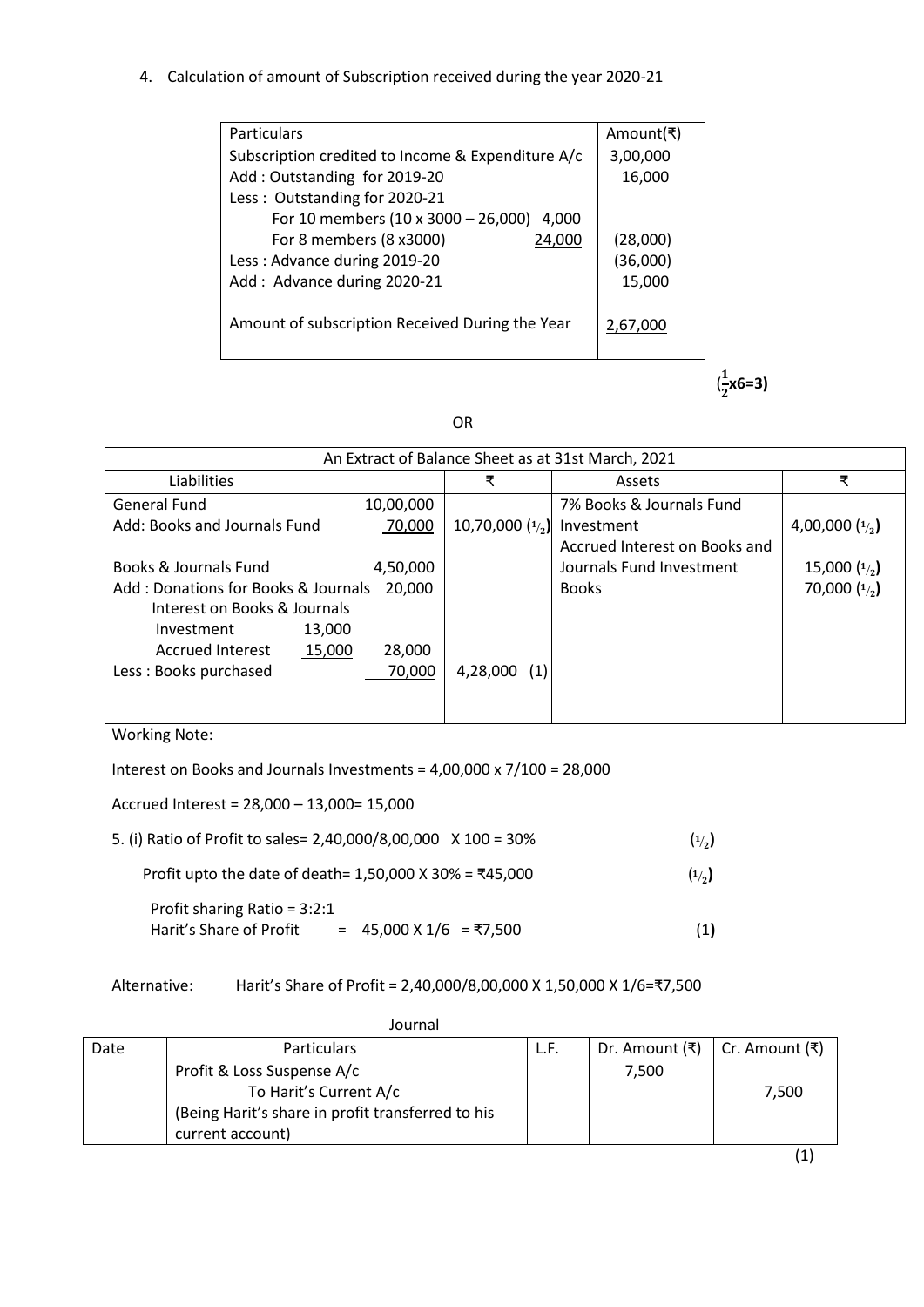4. Calculation of amount of Subscription received during the year 2020-21

| Particulars                                       | Amount(₹) |
|---------------------------------------------------|-----------|
| Subscription credited to Income & Expenditure A/c | 3,00,000  |
| Add: Outstanding for 2019-20                      | 16,000    |
| Less: Outstanding for 2020-21                     |           |
| For 10 members (10 x 3000 - 26,000)<br>4.000      |           |
| For 8 members (8 x3000)<br>24,000                 | (28,000)  |
| Less: Advance during 2019-20                      | (36,000)  |
| Add: Advance during 2020-21                       | 15,000    |
|                                                   |           |
| Amount of subscription Received During the Year   | 2.67.000  |
|                                                   |           |

 $\binom{1}{2}$  $\frac{1}{2}$ x6=3)

OR

| An Extract of Balance Sheet as at 31st March, 2021 |           |                   |                               |                  |
|----------------------------------------------------|-----------|-------------------|-------------------------------|------------------|
| Liabilities                                        |           | ₹                 | Assets                        | ₹                |
| <b>General Fund</b>                                | 10,00,000 |                   | 7% Books & Journals Fund      |                  |
| Add: Books and Journals Fund                       | 70,000    | 10,70,000 $(1/2)$ | Investment                    | 4,00,000 $(1/2)$ |
|                                                    |           |                   | Accrued Interest on Books and |                  |
| Books & Journals Fund                              | 4,50,000  |                   | Journals Fund Investment      | 15,000 $(1/2)$   |
| Add: Donations for Books & Journals                | 20,000    |                   | <b>Books</b>                  | 70,000 $(1/2)$   |
| Interest on Books & Journals                       |           |                   |                               |                  |
| 13.000<br>Investment                               |           |                   |                               |                  |
| Accrued Interest<br>15,000                         | 28,000    |                   |                               |                  |
| Less: Books purchased                              | 70,000    | 4,28,000<br>(1)   |                               |                  |
|                                                    |           |                   |                               |                  |
|                                                    |           |                   |                               |                  |

Working Note:

Interest on Books and Journals Investments = 4,00,000 x 7/100 = 28,000

Accrued Interest = 28,000 – 13,000= 15,000

| 5. (i) Ratio of Profit to sales = 2,40,000/8,00,000 X 100 = 30% | (1/2) |
|-----------------------------------------------------------------|-------|
| Profit upto the date of death= 1,50,000 X 30% = ₹45,000         | (1/2) |
| Profit sharing Ratio = 3:2:1                                    |       |
| = 45,000 X 1/6 = ₹7,500<br>Harit's Share of Profit              | (1)   |

Alternative: Harit's Share of Profit = 2,40,000/8,00,000 X 1,50,000 X 1/6=₹7,500

| Date | <b>Particulars</b>                                | L.F. | Dr. Amount (₹) | Cr. Amount (₹) |
|------|---------------------------------------------------|------|----------------|----------------|
|      | Profit & Loss Suspense A/c                        |      | 7,500          |                |
|      | To Harit's Current A/c                            |      |                | 7,500          |
|      | (Being Harit's share in profit transferred to his |      |                |                |
|      | current account)                                  |      |                |                |
|      |                                                   |      |                |                |

Journal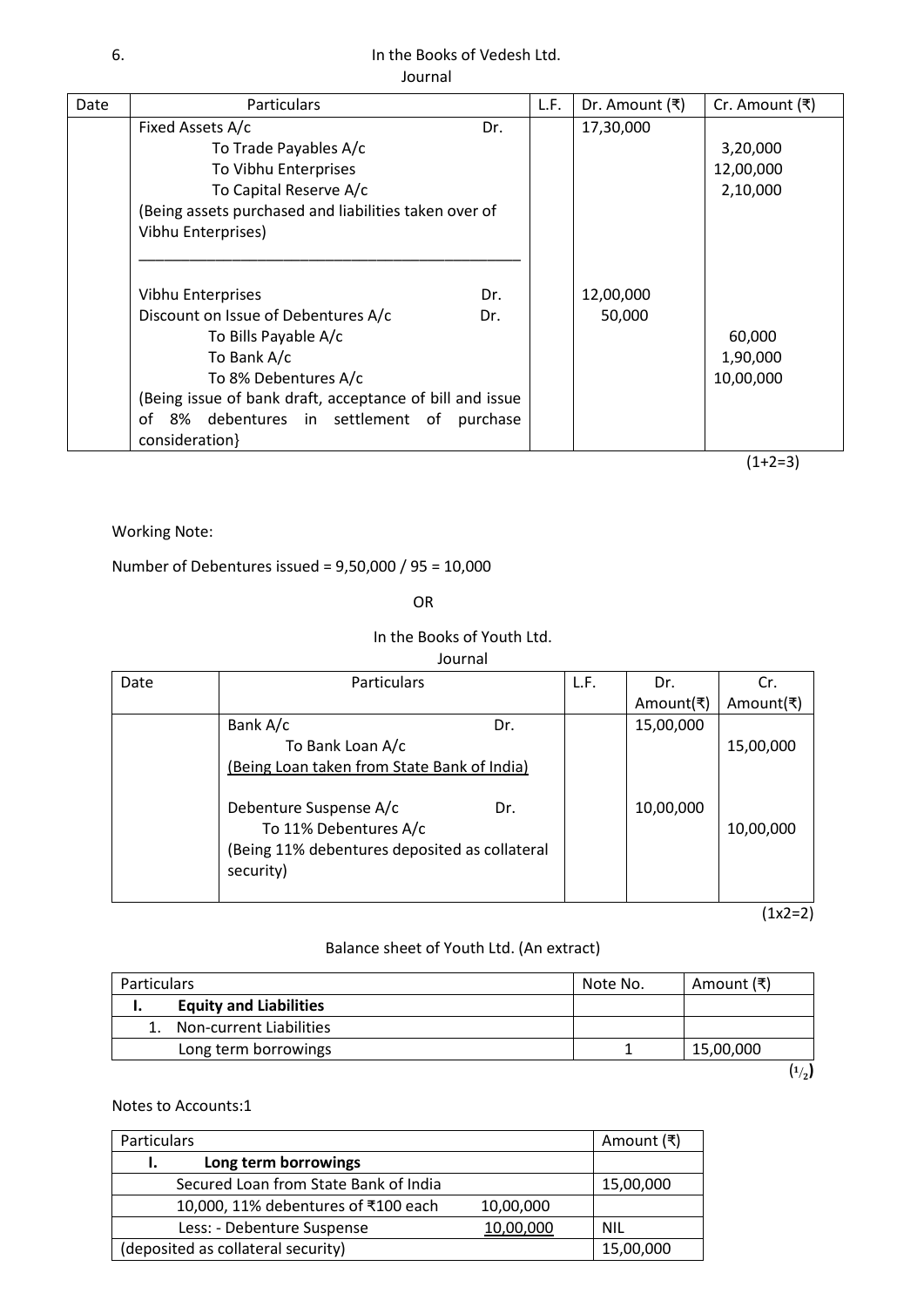## 6. In the Books of Vedesh Ltd. Journal

| Date | <b>Particulars</b>                                       |          | L.F. | Dr. Amount (₹) | Cr. Amount (₹) |
|------|----------------------------------------------------------|----------|------|----------------|----------------|
|      | Fixed Assets A/c                                         | Dr.      |      | 17,30,000      |                |
|      | To Trade Payables A/c                                    |          |      |                | 3,20,000       |
|      | To Vibhu Enterprises                                     |          |      |                | 12,00,000      |
|      | To Capital Reserve A/c                                   |          |      |                | 2,10,000       |
|      | (Being assets purchased and liabilities taken over of    |          |      |                |                |
|      | Vibhu Enterprises)                                       |          |      |                |                |
|      |                                                          |          |      |                |                |
|      | Vibhu Enterprises                                        | Dr.      |      | 12,00,000      |                |
|      | Discount on Issue of Debentures A/c                      | Dr.      |      | 50,000         |                |
|      | To Bills Payable A/c                                     |          |      |                | 60,000         |
|      | To Bank A/c                                              |          |      |                | 1,90,000       |
|      | To 8% Debentures A/c                                     |          |      |                | 10,00,000      |
|      | (Being issue of bank draft, acceptance of bill and issue |          |      |                |                |
|      | of<br>8% debentures in settlement of                     | purchase |      |                |                |
|      | consideration}                                           |          |      |                |                |

Working Note:

Number of Debentures issued = 9,50,000 / 95 = 10,000

**OR** Service Service Service Service Service Service Service Service Service Service Service Service Service Service Service Service Service Service Service Service Service Service Service Service Service Service Service S

## In the Books of Youth Ltd.

| Journal |  |  |
|---------|--|--|

| Date | Particulars                                                                                                   |     | L.F. | Dr.       | Cr.       |
|------|---------------------------------------------------------------------------------------------------------------|-----|------|-----------|-----------|
|      |                                                                                                               |     |      | Amount(₹) | Amount(₹) |
|      | Bank A/c                                                                                                      | Dr. |      | 15,00,000 |           |
|      | To Bank Loan A/c                                                                                              |     |      |           | 15,00,000 |
|      | (Being Loan taken from State Bank of India)                                                                   |     |      |           |           |
|      | Debenture Suspense A/c<br>To 11% Debentures A/c<br>(Being 11% debentures deposited as collateral<br>security) | Dr. |      | 10,00,000 | 10,00,000 |
|      |                                                                                                               |     |      |           |           |

 $(1x2=2)$ 

## Balance sheet of Youth Ltd. (An extract)

| Particulars                   | Note No. | Amount (₹) |
|-------------------------------|----------|------------|
| <b>Equity and Liabilities</b> |          |            |
| Non-current Liabilities       |          |            |
| Long term borrowings          |          | 15,00,000  |

 $(1/2)$ 

Notes to Accounts:1

| Particulars |                                       |           | Amount (₹) |
|-------------|---------------------------------------|-----------|------------|
| ı.          | Long term borrowings                  |           |            |
|             | Secured Loan from State Bank of India |           | 15,00,000  |
|             | 10,000, 11% debentures of ₹100 each   | 10,00,000 |            |
|             | Less: - Debenture Suspense            | 10,00,000 | <b>NIL</b> |
|             | (deposited as collateral security)    |           | 15,00,000  |

 $(1+2=3)$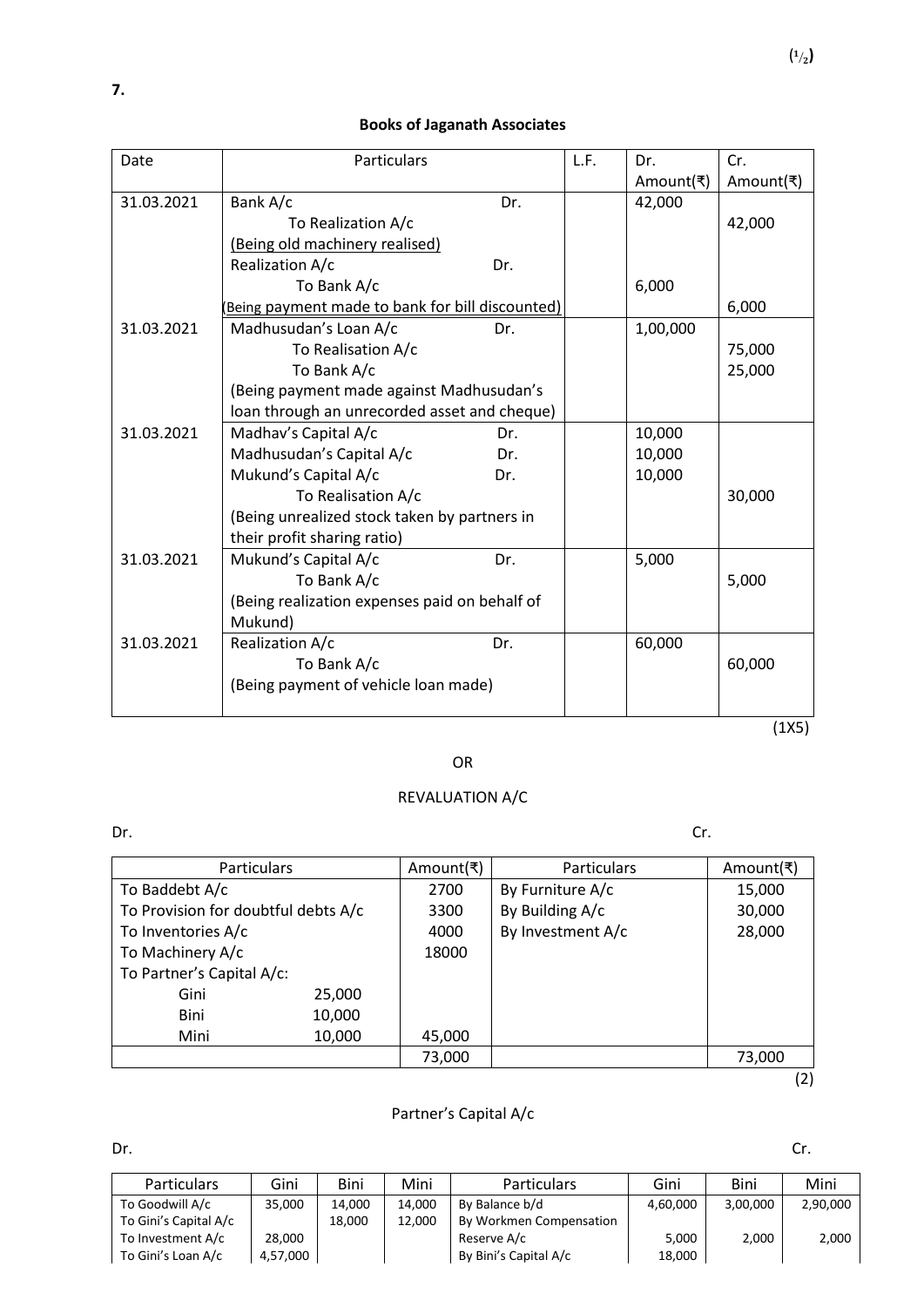# **Books of Jaganath Associates**

| Date       | Particulars                                     |     | L.F. | Dr.       | Cr.       |
|------------|-------------------------------------------------|-----|------|-----------|-----------|
|            |                                                 |     |      | Amount(₹) | Amount(₹) |
| 31.03.2021 | Bank A/c                                        | Dr. |      | 42,000    |           |
|            | To Realization A/c                              |     |      |           | 42,000    |
|            | (Being old machinery realised)                  |     |      |           |           |
|            | Realization A/c                                 | Dr. |      |           |           |
|            | To Bank A/c                                     |     |      | 6,000     |           |
|            | Being payment made to bank for bill discounted) |     |      |           | 6,000     |
| 31.03.2021 | Madhusudan's Loan A/c                           | Dr. |      | 1,00,000  |           |
|            | To Realisation A/c                              |     |      |           | 75,000    |
|            | To Bank A/c                                     |     |      |           | 25,000    |
|            | (Being payment made against Madhusudan's        |     |      |           |           |
|            | loan through an unrecorded asset and cheque)    |     |      |           |           |
| 31.03.2021 | Madhav's Capital A/c                            | Dr. |      | 10,000    |           |
|            | Madhusudan's Capital A/c                        | Dr. |      | 10,000    |           |
|            | Mukund's Capital A/c                            | Dr. |      | 10,000    |           |
|            | To Realisation A/c                              |     |      |           | 30,000    |
|            | (Being unrealized stock taken by partners in    |     |      |           |           |
|            | their profit sharing ratio)                     |     |      |           |           |
| 31.03.2021 | Mukund's Capital A/c                            | Dr. |      | 5,000     |           |
|            | To Bank A/c                                     |     |      |           | 5,000     |
|            | (Being realization expenses paid on behalf of   |     |      |           |           |
|            | Mukund)                                         |     |      |           |           |
| 31.03.2021 | Realization A/c                                 | Dr. |      | 60,000    |           |
|            | To Bank A/c                                     |     |      |           | 60,000    |
|            | (Being payment of vehicle loan made)            |     |      |           |           |
|            |                                                 |     |      |           |           |
|            |                                                 |     |      |           | (1X5)     |

# OR

# REVALUATION A/C

| Dr.                                 |        |           |                    | Cr.       |
|-------------------------------------|--------|-----------|--------------------|-----------|
| Particulars                         |        | Amount(₹) | <b>Particulars</b> | Amount(₹) |
| To Baddebt A/c                      |        | 2700      | By Furniture A/c   | 15,000    |
| To Provision for doubtful debts A/c |        | 3300      | By Building A/c    | 30,000    |
| To Inventories A/c                  |        | 4000      | By Investment A/c  | 28,000    |
| To Machinery A/c                    |        | 18000     |                    |           |
| To Partner's Capital A/c:           |        |           |                    |           |
| Gini                                | 25,000 |           |                    |           |
| <b>Bini</b>                         | 10,000 |           |                    |           |
| Mini                                | 10,000 | 45,000    |                    |           |
|                                     |        | 73,000    |                    | 73,000    |

 $\overline{(2)}$ 

# Partner's Capital A/c

**7.**

| <b>Particulars</b>    | Gini     | Bini   | Mini   | <b>Particulars</b>      | Gini     | Bini     | Mini     |
|-----------------------|----------|--------|--------|-------------------------|----------|----------|----------|
| To Goodwill A/c       | 35.000   | 14,000 | 14.000 | By Balance b/d          | 4,60,000 | 3,00,000 | 2,90,000 |
| To Gini's Capital A/c |          | 18,000 | 12.000 | By Workmen Compensation |          |          |          |
| To Investment A/c     | 28.000   |        |        | Reserve A/c             | 5,000    | 2,000    | 2,000    |
| To Gini's Loan A/c    | 4,57,000 |        |        | By Bini's Capital A/c   | 18,000   |          |          |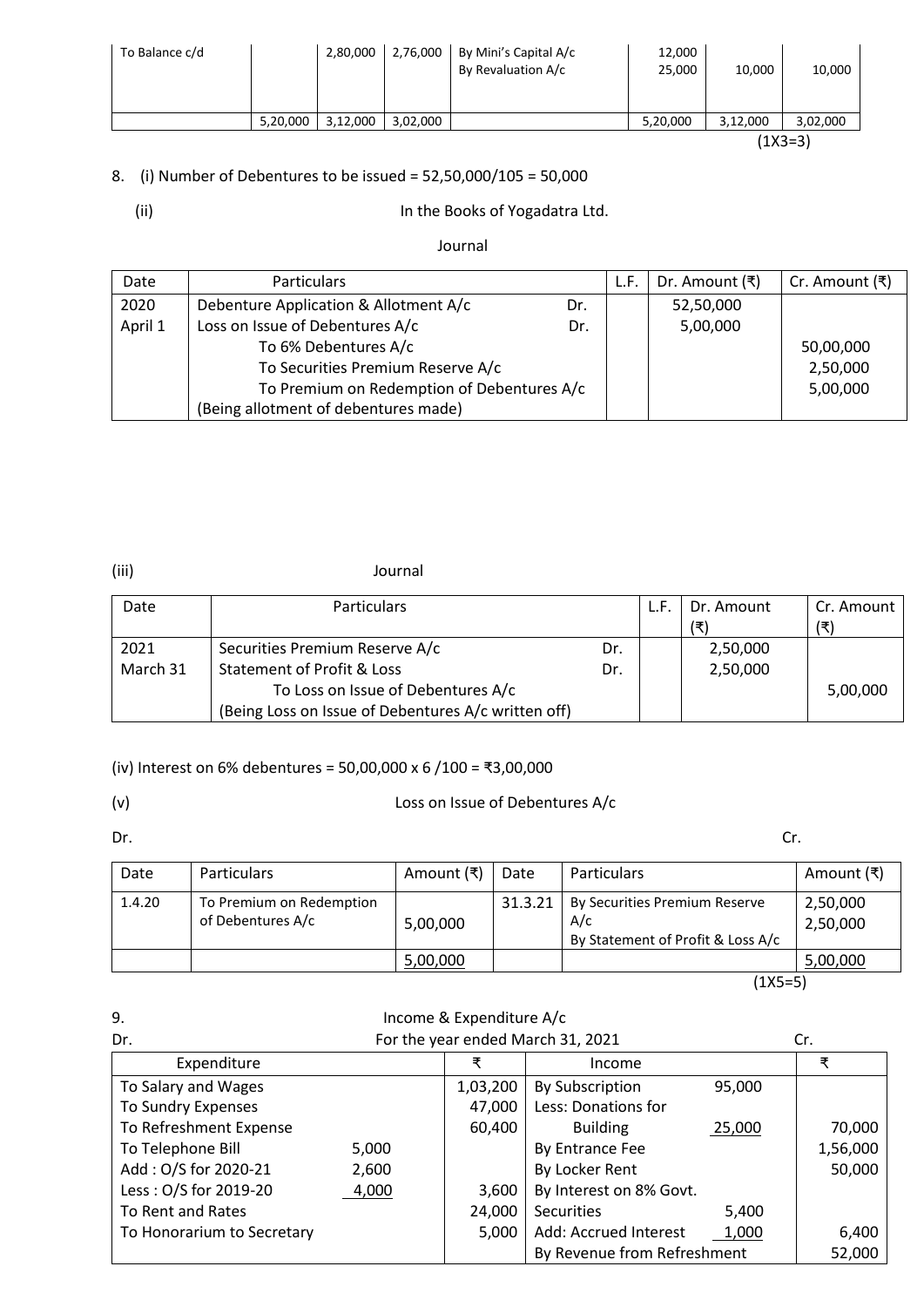| To Balance c/d |          | 2,80,000 | 2,76,000 | By Mini's Capital A/c<br>By Revaluation A/c | 12,000<br>25,000 | 10,000   | 10,000   |
|----------------|----------|----------|----------|---------------------------------------------|------------------|----------|----------|
|                | 5,20,000 | 3,12,000 | 3,02,000 |                                             | 5,20,000         | 3,12,000 | 3,02,000 |

(1X3=3)

## 8. (i) Number of Debentures to be issued = 52,50,000/105 = 50,000

## (ii) In the Books of Yogadatra Ltd.

Journal

| Date    | <b>Particulars</b>                         |     | L.F. | Dr. Amount (₹) | Cr. Amount (₹) |
|---------|--------------------------------------------|-----|------|----------------|----------------|
| 2020    | Debenture Application & Allotment A/c      | Dr. |      | 52,50,000      |                |
| April 1 | Loss on Issue of Debentures A/c            | Dr. |      | 5,00,000       |                |
|         | To 6% Debentures A/c                       |     |      |                | 50,00,000      |
|         | To Securities Premium Reserve A/c          |     |      |                | 2,50,000       |
|         | To Premium on Redemption of Debentures A/c |     |      |                | 5,00,000       |
|         | (Being allotment of debentures made)       |     |      |                |                |

(iii) Journal

| Date     | <b>Particulars</b>                                  |     | L.F. | Dr. Amount | Cr. Amount |
|----------|-----------------------------------------------------|-----|------|------------|------------|
|          |                                                     |     |      | (₹         | (₹)        |
| 2021     | Securities Premium Reserve A/c                      | Dr. |      | 2,50,000   |            |
| March 31 | Statement of Profit & Loss                          | Dr. |      | 2,50,000   |            |
|          | To Loss on Issue of Debentures A/c                  |     |      |            | 5,00,000   |
|          | (Being Loss on Issue of Debentures A/c written off) |     |      |            |            |

## (iv) Interest on 6% debentures = 50,00,000 x 6 /100 = ₹3,00,000

(v) Loss on Issue of Debentures A/c

de la contradición de la contradición de la contradición de la contradición de la contradición de la contradición de la contradición de la contradición de la contradición de la contradición de la contradición de la contrad

| Date   | <b>Particulars</b>                            | Amount (₹) | Date    | Particulars                                                               | Amount (₹)           |
|--------|-----------------------------------------------|------------|---------|---------------------------------------------------------------------------|----------------------|
| 1.4.20 | To Premium on Redemption<br>of Debentures A/c | 5,00,000   | 31.3.21 | By Securities Premium Reserve<br>A/c<br>By Statement of Profit & Loss A/c | 2,50,000<br>2,50,000 |
|        |                                               | 5,00,000   |         |                                                                           | 5,00,000             |

 $(1X5=5)$ 

| 9.<br>Income & Expenditure A/c |       |                                   |                             |        |          |
|--------------------------------|-------|-----------------------------------|-----------------------------|--------|----------|
| Dr.                            |       | For the year ended March 31, 2021 |                             | Cr.    |          |
| Expenditure                    |       |                                   | Income                      |        | ₹        |
| To Salary and Wages            |       | 1,03,200                          | By Subscription             | 95,000 |          |
| To Sundry Expenses             |       | 47,000                            | Less: Donations for         |        |          |
| To Refreshment Expense         |       | 60,400                            | <b>Building</b>             | 25,000 | 70,000   |
| To Telephone Bill              | 5,000 |                                   | By Entrance Fee             |        | 1,56,000 |
| Add: O/S for 2020-21           | 2,600 |                                   | By Locker Rent              |        | 50,000   |
| Less: O/S for 2019-20          | 4,000 | 3,600                             | By Interest on 8% Govt.     |        |          |
| To Rent and Rates              |       | 24,000                            | <b>Securities</b>           | 5,400  |          |
| To Honorarium to Secretary     |       | 5,000                             | Add: Accrued Interest       | 1,000  | 6,400    |
|                                |       |                                   | By Revenue from Refreshment |        | 52,000   |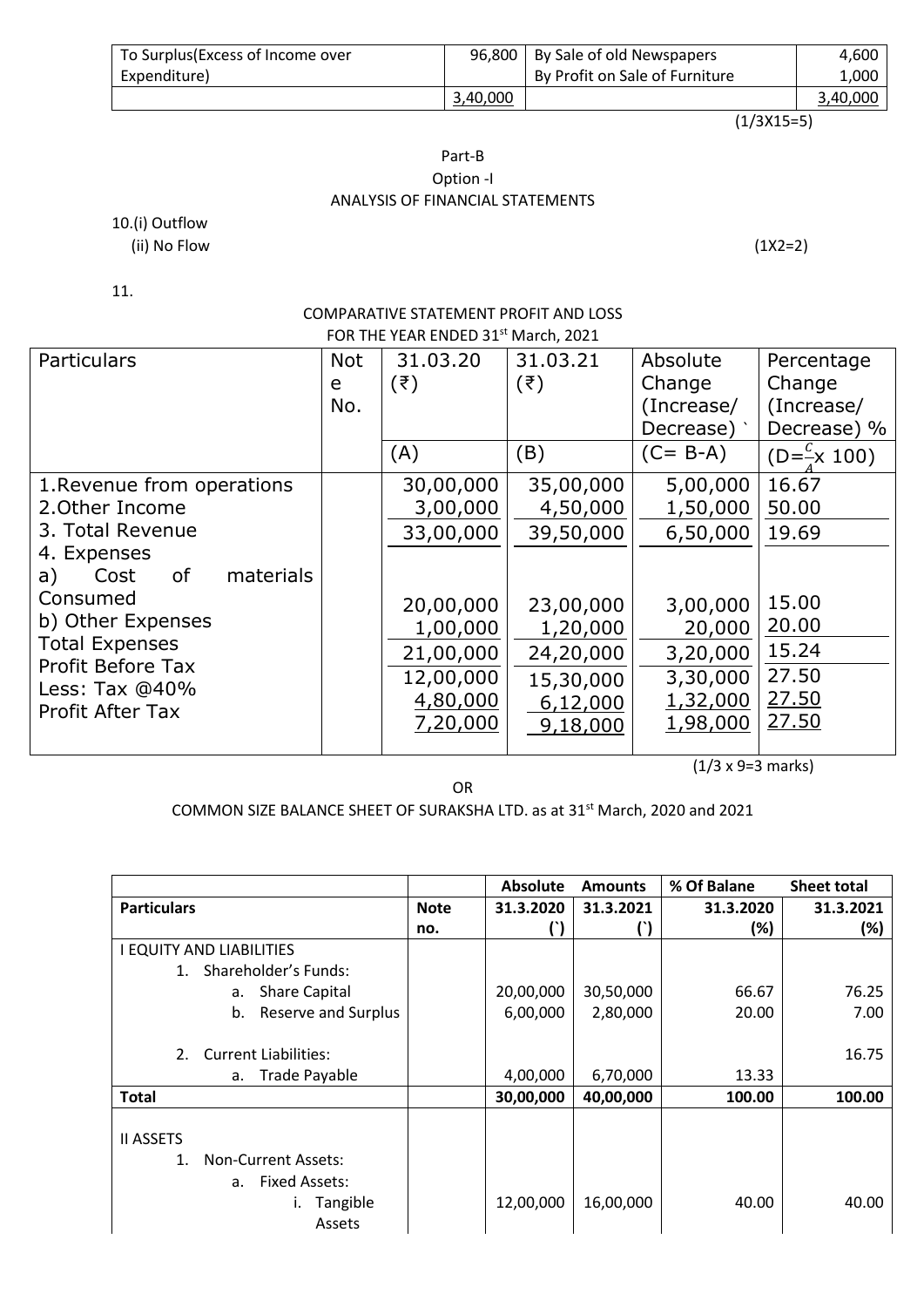| To Surplus(Excess of Income over |          | 96,800   By Sale of old Newspapers | 4.600    |
|----------------------------------|----------|------------------------------------|----------|
| Expenditure)                     |          | By Profit on Sale of Furniture     | 1,000    |
|                                  | 3,40,000 |                                    | 3,40,000 |

(1/3X15=5)

## Part-B Option -I ANALYSIS OF FINANCIAL STATEMENTS

10.(i) Outflow

 $(i)$  No Flow  $(1X2=2)$ 

11.

### COMPARATIVE STATEMENT PROFIT AND LOSS FOR THE YEAR ENDED 31st March, 2021

|                                    |            | 011 1112 127 111 2110 22 32 1110 1211 2021 |                    |             |                                |
|------------------------------------|------------|--------------------------------------------|--------------------|-------------|--------------------------------|
| Particulars                        | <b>Not</b> | 31,03,20                                   | 31.03.21           | Absolute    | Percentage                     |
|                                    | e          | $(\overline{\xi})$                         | $(\overline{\xi})$ | Change      | Change                         |
|                                    | No.        |                                            |                    | (Increase/  | (Increase/                     |
|                                    |            |                                            |                    | Decrease) ` | Decrease) %                    |
|                                    |            | (A)                                        | (B)                | $(C = B-A)$ | $(D = \frac{c}{x} \times 100)$ |
| 1. Revenue from operations         |            | 30,00,000                                  | 35,00,000          | 5,00,000    | 16.67                          |
| 2. Other Income                    |            | 3,00,000                                   | 4,50,000           | 1,50,000    | 50.00                          |
| 3. Total Revenue                   |            | 33,00,000                                  | 39,50,000          | 6,50,000    | 19.69                          |
| 4. Expenses                        |            |                                            |                    |             |                                |
| materials<br>0f<br>Cost<br>a)      |            |                                            |                    |             |                                |
| Consumed                           |            | 20,00,000                                  | 23,00,000          | 3,00,000    | 15.00                          |
| b) Other Expenses                  |            | 1,00,000                                   | 1,20,000           | 20,000      | 20.00                          |
| <b>Total Expenses</b>              |            | 21,00,000                                  | 24,20,000          | 3,20,000    | 15.24                          |
| Profit Before Tax                  |            | 12,00,000                                  | 15,30,000          | 3,30,000    | 27.50                          |
| Less: Tax @40%<br>Profit After Tax |            | 4,80,000                                   | 6,12,000           | 1,32,000    | 27.50                          |
|                                    |            | 7,20,000                                   | 9,18,000           | 1,98,000    | 27.50                          |
|                                    |            |                                            |                    |             |                                |

(1/3 x 9=3 marks)

OR COMMON SIZE BALANCE SHEET OF SURAKSHA LTD. as at 31st March, 2020 and 2021

|                                              |             | <b>Absolute</b> | <b>Amounts</b> | % Of Balane | <b>Sheet total</b> |
|----------------------------------------------|-------------|-----------------|----------------|-------------|--------------------|
| <b>Particulars</b>                           | <b>Note</b> | 31.3.2020       | 31.3.2021      | 31.3.2020   | 31.3.2021          |
|                                              | no.         |                 |                | (%)         | $(\%)$             |
| <b>I EQUITY AND LIABILITIES</b>              |             |                 |                |             |                    |
| Shareholder's Funds:<br>$1_{-}$              |             |                 |                |             |                    |
| <b>Share Capital</b><br>а.                   |             | 20,00,000       | 30,50,000      | 66.67       | 76.25              |
| <b>Reserve and Surplus</b><br>b.             |             | 6,00,000        | 2,80,000       | 20.00       | 7.00               |
|                                              |             |                 |                |             |                    |
| <b>Current Liabilities:</b><br>2.            |             |                 |                |             | 16.75              |
| Trade Payable<br>a.                          |             | 4,00,000        | 6,70,000       | 13.33       |                    |
| <b>Total</b>                                 |             | 30,00,000       | 40,00,000      | 100.00      | 100.00             |
|                                              |             |                 |                |             |                    |
| <b>II ASSETS</b>                             |             |                 |                |             |                    |
| <b>Non-Current Assets:</b><br>$\mathbf{1}$ . |             |                 |                |             |                    |
| <b>Fixed Assets:</b><br>a.                   |             |                 |                |             |                    |
| Tangible<br>Ι.                               |             | 12,00,000       | 16,00,000      | 40.00       | 40.00              |
| Assets                                       |             |                 |                |             |                    |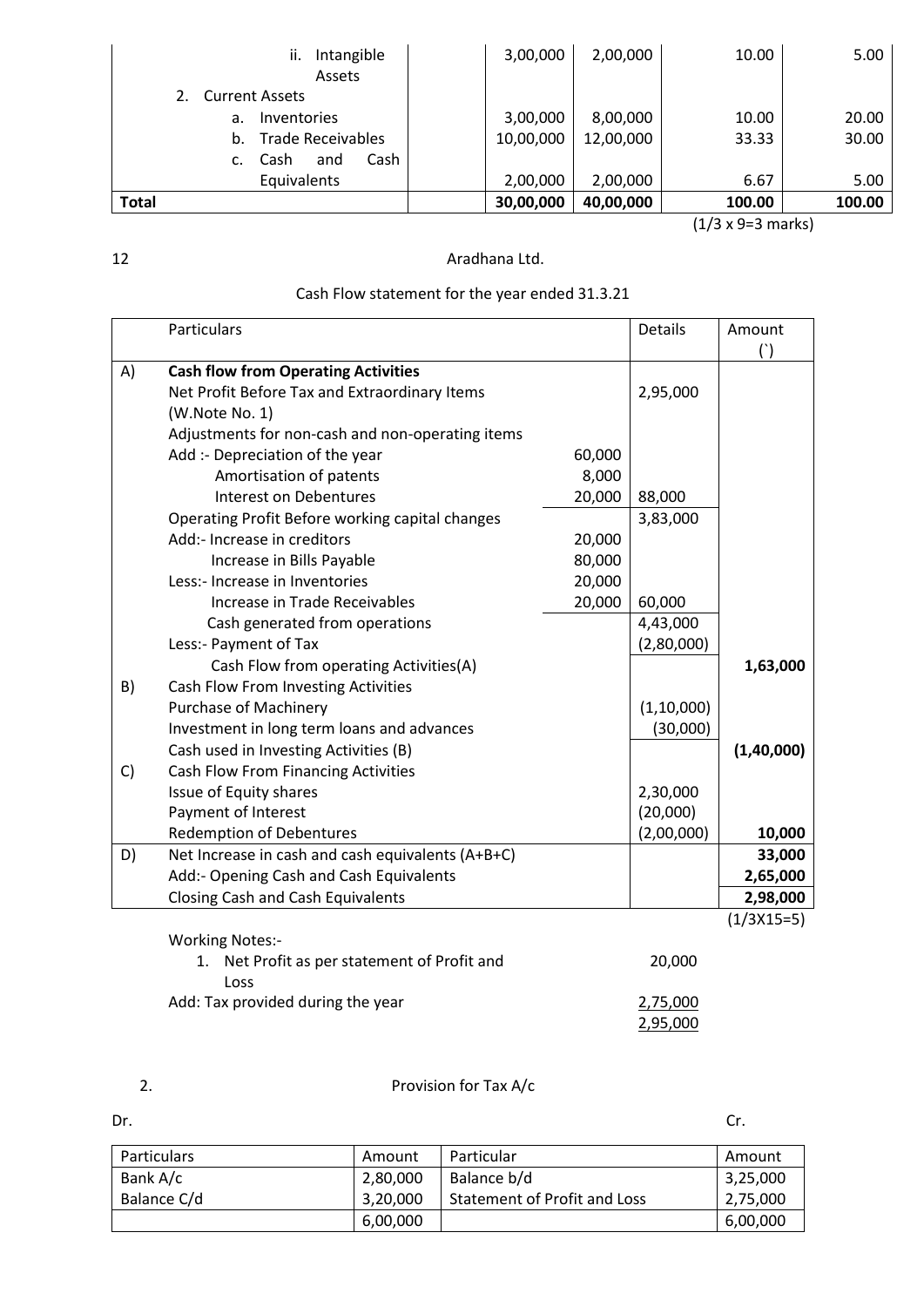| ii.<br>Intangible<br>Assets    | 3,00,000  | 2,00,000  | 10.00  | 5.00   |
|--------------------------------|-----------|-----------|--------|--------|
| <b>Current Assets</b><br>2.    |           |           |        |        |
| <b>Inventories</b><br>a.       | 3,00,000  | 8,00,000  | 10.00  | 20.00  |
| <b>Trade Receivables</b><br>b. | 10,00,000 | 12,00,000 | 33.33  | 30.00  |
| Cash<br>Cash<br>and<br>C.      |           |           |        |        |
| Equivalents                    | 2,00,000  | 2,00,000  | 6.67   | 5.00   |
| <b>Total</b>                   | 30,00,000 | 40,00,000 | 100.00 | 100.00 |
|                                |           |           |        |        |

(1/3 x 9=3 marks)

# 12 **Aradhana Ltd.**

# Cash Flow statement for the year ended 31.3.21

|    | Particulars                                       |        | <b>Details</b> | Amount       |
|----|---------------------------------------------------|--------|----------------|--------------|
|    |                                                   |        |                | $($ )        |
| A) | <b>Cash flow from Operating Activities</b>        |        |                |              |
|    | Net Profit Before Tax and Extraordinary Items     |        | 2,95,000       |              |
|    | (W.Note No. 1)                                    |        |                |              |
|    | Adjustments for non-cash and non-operating items  |        |                |              |
|    | Add :- Depreciation of the year                   | 60,000 |                |              |
|    | Amortisation of patents                           | 8,000  |                |              |
|    | Interest on Debentures                            | 20,000 | 88,000         |              |
|    | Operating Profit Before working capital changes   |        | 3,83,000       |              |
|    | Add:- Increase in creditors                       | 20,000 |                |              |
|    | Increase in Bills Payable                         | 80,000 |                |              |
|    | Less:- Increase in Inventories                    | 20,000 |                |              |
|    | Increase in Trade Receivables                     | 20,000 | 60,000         |              |
|    | Cash generated from operations                    |        | 4,43,000       |              |
|    | Less:- Payment of Tax                             |        | (2,80,000)     |              |
|    | Cash Flow from operating Activities(A)            |        |                | 1,63,000     |
| B) | Cash Flow From Investing Activities               |        |                |              |
|    | <b>Purchase of Machinery</b>                      |        | (1, 10, 000)   |              |
|    | Investment in long term loans and advances        |        | (30,000)       |              |
|    | Cash used in Investing Activities (B)             |        |                | (1,40,000)   |
| C) | Cash Flow From Financing Activities               |        |                |              |
|    | Issue of Equity shares                            |        | 2,30,000       |              |
|    | Payment of Interest                               |        | (20,000)       |              |
|    | <b>Redemption of Debentures</b>                   |        | (2,00,000)     | 10,000       |
| D) | Net Increase in cash and cash equivalents (A+B+C) |        |                | 33,000       |
|    | Add:- Opening Cash and Cash Equivalents           |        |                | 2,65,000     |
|    | <b>Closing Cash and Cash Equivalents</b>          |        |                | 2,98,000     |
|    |                                                   |        |                | $(1/3X15=5)$ |
|    | <b>Working Notes:-</b>                            |        |                |              |
|    | Net Profit as per statement of Profit and<br>1.   |        | 20,000         |              |
|    | Loss                                              |        |                |              |
|    | Add: Tax provided during the year                 |        | 2,75,000       |              |

2. Provision for Tax A/c

|         | v |  |
|---------|---|--|
| ۰.<br>٧ |   |  |

Dr. Cr. Castle of the contract of the contract of the contract of the contract of the contract of the contract of the contract of the contract of the contract of the contract of the contract of the contract of the contract

2,95,000

| <b>Particulars</b> | Amount   | Particular                   | Amount   |
|--------------------|----------|------------------------------|----------|
| Bank A/c           | 2,80,000 | Balance b/d                  | 3,25,000 |
| Balance C/d        | 3.20.000 | Statement of Profit and Loss | 2,75,000 |
|                    | 6,00,000 |                              | 6,00,000 |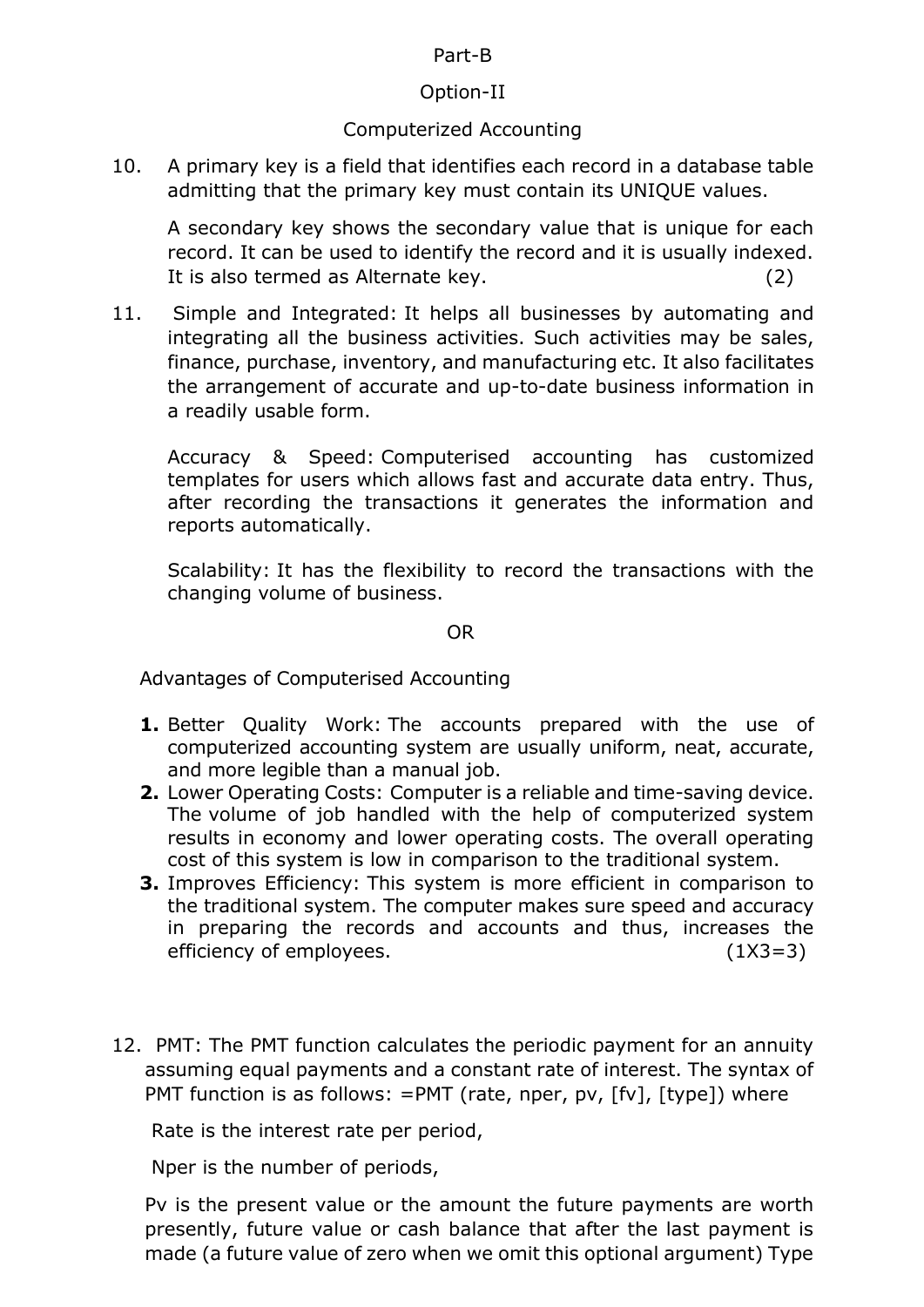# Part-B

# Option-II

# Computerized Accounting

10. A primary key is a field that identifies each record in a database table admitting that the primary key must contain its UNIQUE values.

A secondary key shows the secondary value that is unique for each record. It can be used to identify the record and it is usually indexed. It is also termed as Alternate key. (2)

11. Simple and Integrated: It helps all businesses by automating and integrating all the business activities. Such activities may be sales, finance, purchase, inventory, and manufacturing etc. It also facilitates the arrangement of accurate and up-to-date business information in a readily usable form.

Accuracy & Speed: Computerised accounting has customized templates for users which allows fast and accurate data entry. Thus, after recording the transactions it generates the information and reports automatically.

Scalability: It has the flexibility to record the transactions with the changing volume of business.

# OR

Advantages of Computerised Accounting

- **1.** Better Quality Work: The accounts prepared with the use of computerized accounting system are usually uniform, neat, accurate, and more legible than a manual job.
- **2.** Lower Operating Costs: Computer is a reliable and time-saving device. The volume of job handled with the help of computerized system results in economy and lower operating costs. The overall operating cost of this system is low in comparison to the traditional system.
- **3.** Improves Efficiency: This system is more efficient in comparison to the traditional system. The computer makes sure speed and accuracy in preparing the records and accounts and thus, increases the efficiency of employees. (1X3=3)
- 12. PMT: The PMT function calculates the periodic payment for an annuity assuming equal payments and a constant rate of interest. The syntax of PMT function is as follows: =PMT (rate, nper, pv, [fv], [type]) where

Rate is the interest rate per period,

Nper is the number of periods,

Pv is the present value or the amount the future payments are worth presently, future value or cash balance that after the last payment is made (a future value of zero when we omit this optional argument) Type